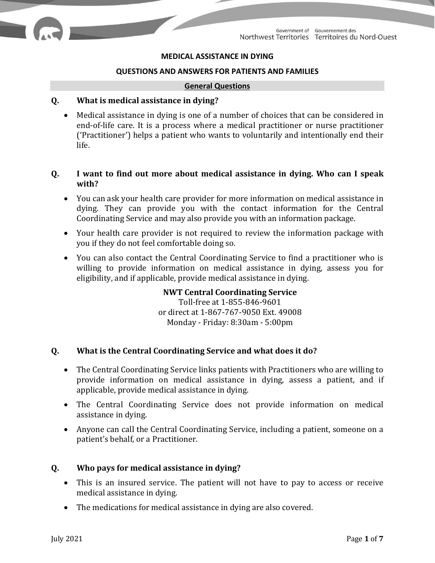### **MEDICAL ASSISTANCE IN DYING**

#### **QUESTIONS AND ANSWERS FOR PATIENTS AND FAMILIES**

#### **General Questions**

#### **Q. What is medical assistance in dying?**

• Medical assistance in dying is one of a number of choices that can be considered in end-of-life care. It is a process where a medical practitioner or nurse practitioner ('Practitioner') helps a patient who wants to voluntarily and intentionally end their life.

## **Q. I want to find out more about medical assistance in dying. Who can I speak with?**

- You can ask your health care provider for more information on medical assistance in dying. They can provide you with the contact information for the Central Coordinating Service and may also provide you with an information package.
- Your health care provider is not required to review the information package with you if they do not feel comfortable doing so.
- You can also contact the Central Coordinating Service to find a practitioner who is willing to provide information on medical assistance in dying, assess you for eligibility, and if applicable, provide medical assistance in dying.

# **NWT Central Coordinating Service** Toll-free at 1-855-846-9601 or direct at 1-867-767-9050 Ext. 49008 Monday - Friday: 8:30am - 5:00pm

## **Q. What is the Central Coordinating Service and what does it do?**

- The Central Coordinating Service links patients with Practitioners who are willing to provide information on medical assistance in dying, assess a patient, and if applicable, provide medical assistance in dying.
- The Central Coordinating Service does not provide information on medical assistance in dying.
- Anyone can call the Central Coordinating Service, including a patient, someone on a patient's behalf, or a Practitioner.

## **Q. Who pays for medical assistance in dying?**

- This is an insured service. The patient will not have to pay to access or receive medical assistance in dying.
- The medications for medical assistance in dying are also covered.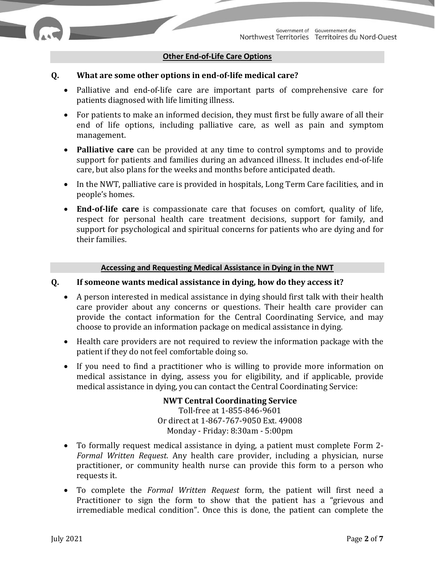### **Other End-of-Life Care Options**

### **Q. What are some other options in end-of-life medical care?**

- Palliative and end-of-life care are important parts of comprehensive care for patients diagnosed with life limiting illness.
- For patients to make an informed decision, they must first be fully aware of all their end of life options, including palliative care, as well as pain and symptom management.
- **Palliative care** can be provided at any time to control symptoms and to provide support for patients and families during an advanced illness. It includes end-of-life care, but also plans for the weeks and months before anticipated death.
- In the NWT, palliative care is provided in hospitals, Long Term Care facilities, and in people's homes.
- **End-of-life care** is compassionate care that focuses on comfort, quality of life, respect for personal health care treatment decisions, support for family, and support for psychological and spiritual concerns for patients who are dying and for their families.

#### **Accessing and Requesting Medical Assistance in Dying in the NWT**

### **Q. If someone wants medical assistance in dying, how do they access it?**

- A person interested in medical assistance in dying should first talk with their health care provider about any concerns or questions. Their health care provider can provide the contact information for the Central Coordinating Service, and may choose to provide an information package on medical assistance in dying.
- Health care providers are not required to review the information package with the patient if they do not feel comfortable doing so.
- If you need to find a practitioner who is willing to provide more information on medical assistance in dying, assess you for eligibility, and if applicable, provide medical assistance in dying, you can contact the Central Coordinating Service:

**NWT Central Coordinating Service** Toll-free at 1-855-846-9601 Or direct at 1-867-767-9050 Ext. 49008 Monday - Friday: 8:30am - 5:00pm

- To formally request medical assistance in dying, a patient must complete Form 2- *Formal Written Request*. Any health care provider, including a physician, nurse practitioner, or community health nurse can provide this form to a person who requests it.
- To complete the *Formal Written Request* form, the patient will first need a Practitioner to sign the form to show that the patient has a "grievous and irremediable medical condition". Once this is done, the patient can complete the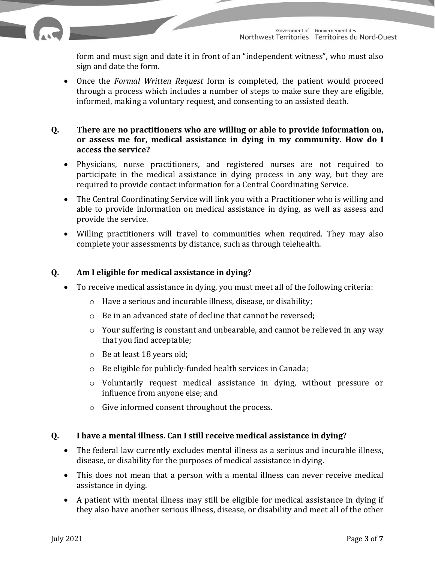form and must sign and date it in front of an "independent witness", who must also sign and date the form.

• Once the *Formal Written Request* form is completed, the patient would proceed through a process which includes a number of steps to make sure they are eligible, informed, making a voluntary request, and consenting to an assisted death.

## **Q. There are no practitioners who are willing or able to provide information on, or assess me for, medical assistance in dying in my community. How do I access the service?**

- Physicians, nurse practitioners, and registered nurses are not required to participate in the medical assistance in dying process in any way, but they are required to provide contact information for a Central Coordinating Service.
- The Central Coordinating Service will link you with a Practitioner who is willing and able to provide information on medical assistance in dying, as well as assess and provide the service.
- Willing practitioners will travel to communities when required. They may also complete your assessments by distance, such as through telehealth.

# **Q. Am I eligible for medical assistance in dying?**

- To receive medical assistance in dying, you must meet all of the following criteria:
	- o Have a serious and incurable illness, disease, or disability;
	- o Be in an advanced state of decline that cannot be reversed;
	- o Your suffering is constant and unbearable, and cannot be relieved in any way that you find acceptable;
	- o Be at least 18 years old;
	- o Be eligible for publicly-funded health services in Canada;
	- o Voluntarily request medical assistance in dying, without pressure or influence from anyone else; and
	- o Give informed consent throughout the process.

# **Q. I have a mental illness. Can I still receive medical assistance in dying?**

- The federal law currently excludes mental illness as a serious and incurable illness, disease, or disability for the purposes of medical assistance in dying.
- This does not mean that a person with a mental illness can never receive medical assistance in dying.
- A patient with mental illness may still be eligible for medical assistance in dying if they also have another serious illness, disease, or disability and meet all of the other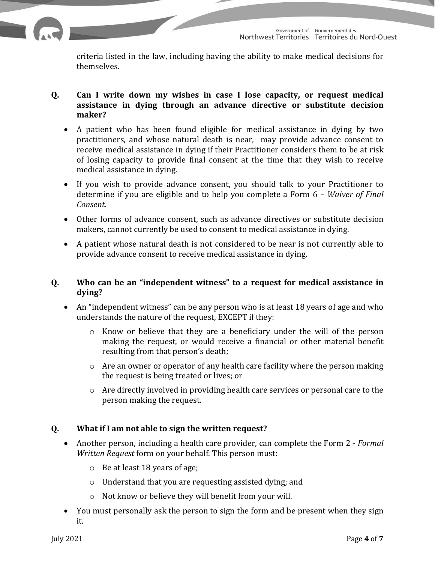

criteria listed in the law, including having the ability to make medical decisions for themselves.

# **Q. Can I write down my wishes in case I lose capacity, or request medical assistance in dying through an advance directive or substitute decision maker?**

- A patient who has been found eligible for medical assistance in dying by two practitioners, and whose natural death is near, may provide advance consent to receive medical assistance in dying if their Practitioner considers them to be at risk of losing capacity to provide final consent at the time that they wish to receive medical assistance in dying.
- If you wish to provide advance consent, you should talk to your Practitioner to determine if you are eligible and to help you complete a Form 6 – *Waiver of Final Consent.*
- Other forms of advance consent, such as advance directives or substitute decision makers, cannot currently be used to consent to medical assistance in dying.
- A patient whose natural death is not considered to be near is not currently able to provide advance consent to receive medical assistance in dying.

# **Q. Who can be an "independent witness" to a request for medical assistance in dying?**

- An "independent witness" can be any person who is at least 18 years of age and who understands the nature of the request, EXCEPT if they:
	- $\circ$  Know or believe that they are a beneficiary under the will of the person making the request, or would receive a financial or other material benefit resulting from that person's death;
	- o Are an owner or operator of any health care facility where the person making the request is being treated or lives; or
	- o Are directly involved in providing health care services or personal care to the person making the request.

# **Q. What if I am not able to sign the written request?**

- Another person, including a health care provider, can complete the Form 2 *Formal Written Request* form on your behalf. This person must:
	- o Be at least 18 years of age;
	- o Understand that you are requesting assisted dying; and
	- o Not know or believe they will benefit from your will.
- You must personally ask the person to sign the form and be present when they sign it.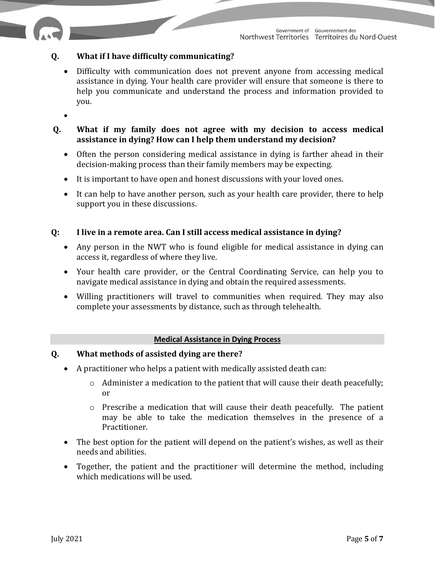# **Q. What if I have difficulty communicating?**

- Difficulty with communication does not prevent anyone from accessing medical assistance in dying. Your health care provider will ensure that someone is there to help you communicate and understand the process and information provided to you.
- •

## **Q. What if my family does not agree with my decision to access medical assistance in dying? How can I help them understand my decision?**

- Often the person considering medical assistance in dying is farther ahead in their decision-making process than their family members may be expecting.
- It is important to have open and honest discussions with your loved ones.
- It can help to have another person, such as your health care provider, there to help support you in these discussions.

## **Q: I live in a remote area. Can I still access medical assistance in dying?**

- Any person in the NWT who is found eligible for medical assistance in dying can access it, regardless of where they live.
- Your health care provider, or the Central Coordinating Service, can help you to navigate medical assistance in dying and obtain the required assessments.
- Willing practitioners will travel to communities when required. They may also complete your assessments by distance, such as through telehealth.

## **Medical Assistance in Dying Process**

## **Q. What methods of assisted dying are there?**

- A practitioner who helps a patient with medically assisted death can:
	- o Administer a medication to the patient that will cause their death peacefully; or
	- o Prescribe a medication that will cause their death peacefully. The patient may be able to take the medication themselves in the presence of a Practitioner.
- The best option for the patient will depend on the patient's wishes, as well as their needs and abilities.
- Together, the patient and the practitioner will determine the method, including which medications will be used.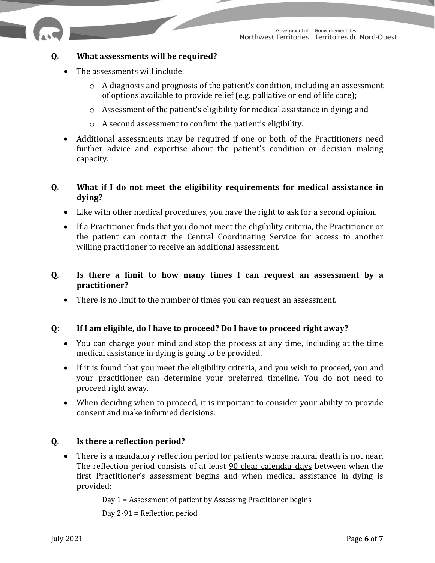

## **Q. What assessments will be required?**

- The assessments will include:
	- o A diagnosis and prognosis of the patient's condition, including an assessment of options available to provide relief (e.g. palliative or end of life care);
	- o Assessment of the patient's eligibility for medical assistance in dying; and
	- o A second assessment to confirm the patient's eligibility.
- Additional assessments may be required if one or both of the Practitioners need further advice and expertise about the patient's condition or decision making capacity.

## **Q. What if I do not meet the eligibility requirements for medical assistance in dying?**

- Like with other medical procedures, you have the right to ask for a second opinion.
- If a Practitioner finds that you do not meet the eligibility criteria, the Practitioner or the patient can contact the Central Coordinating Service for access to another willing practitioner to receive an additional assessment.

## **Q. Is there a limit to how many times I can request an assessment by a practitioner?**

• There is no limit to the number of times you can request an assessment.

## **Q: If I am eligible, do I have to proceed? Do I have to proceed right away?**

- You can change your mind and stop the process at any time, including at the time medical assistance in dying is going to be provided.
- If it is found that you meet the eligibility criteria, and you wish to proceed, you and your practitioner can determine your preferred timeline. You do not need to proceed right away.
- When deciding when to proceed, it is important to consider your ability to provide consent and make informed decisions.

## **Q. Is there a reflection period?**

There is a mandatory reflection period for patients whose natural death is not near. The reflection period consists of at least 90 clear calendar days between when the first Practitioner's assessment begins and when medical assistance in dying is provided:

Day 1 = Assessment of patient by Assessing Practitioner begins

Day 2-91 = Reflection period